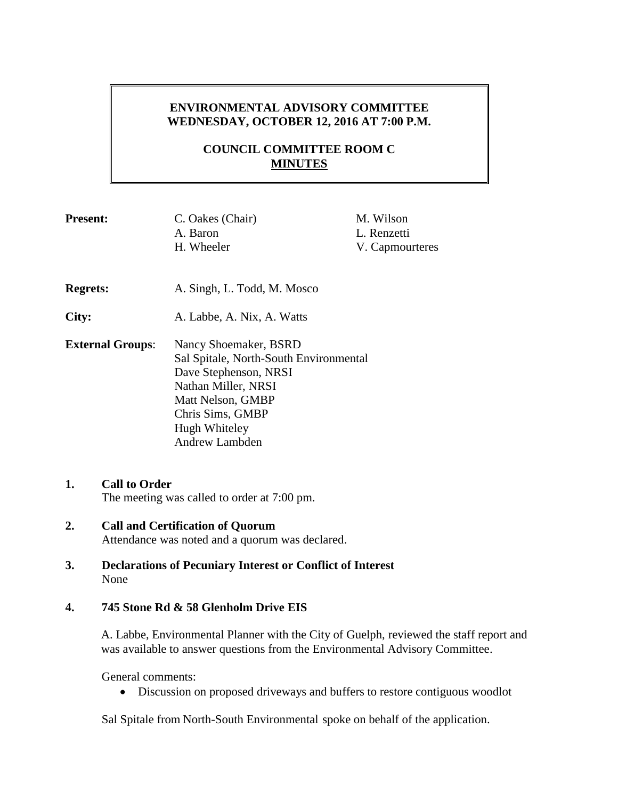## **ENVIRONMENTAL ADVISORY COMMITTEE WEDNESDAY, OCTOBER 12, 2016 AT 7:00 P.M.**

# **COUNCIL COMMITTEE ROOM C MINUTES**

| <b>Present:</b>         | C. Oakes (Chair)<br>A. Baron                                                                                                                                                                | M. Wilson<br>L. Renzetti |
|-------------------------|---------------------------------------------------------------------------------------------------------------------------------------------------------------------------------------------|--------------------------|
|                         | H. Wheeler                                                                                                                                                                                  | V. Capmourteres          |
| <b>Regrets:</b>         | A. Singh, L. Todd, M. Mosco                                                                                                                                                                 |                          |
| City:                   | A. Labbe, A. Nix, A. Watts                                                                                                                                                                  |                          |
| <b>External Groups:</b> | Nancy Shoemaker, BSRD<br>Sal Spitale, North-South Environmental<br>Dave Stephenson, NRSI<br>Nathan Miller, NRSI<br>Matt Nelson, GMBP<br>Chris Sims, GMBP<br>Hugh Whiteley<br>Andrew Lambden |                          |

- **1. Call to Order** The meeting was called to order at 7:00 pm.
- **2. Call and Certification of Quorum** Attendance was noted and a quorum was declared.
- **3. Declarations of Pecuniary Interest or Conflict of Interest** None

#### **4. 745 Stone Rd & 58 Glenholm Drive EIS**

A. Labbe, Environmental Planner with the City of Guelph, reviewed the staff report and was available to answer questions from the Environmental Advisory Committee.

General comments:

Discussion on proposed driveways and buffers to restore contiguous woodlot

Sal Spitale from North-South Environmental spoke on behalf of the application.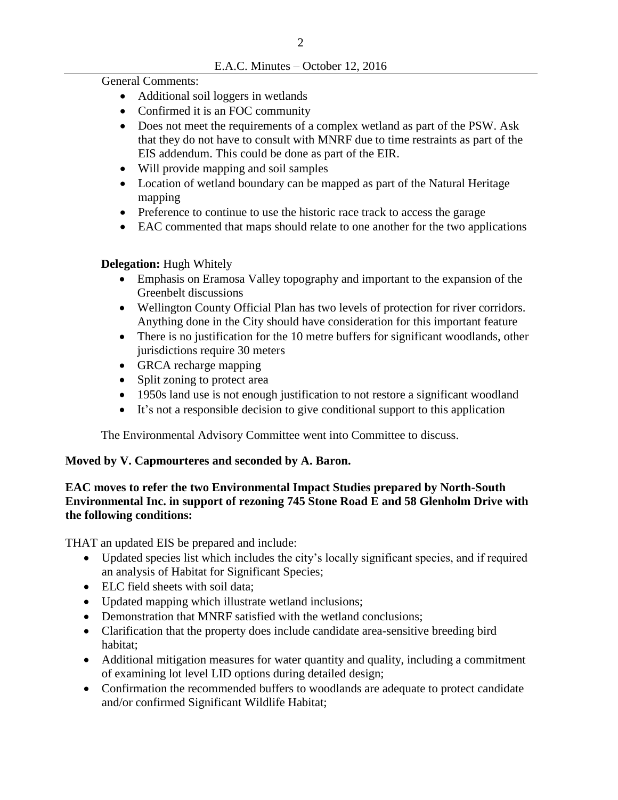#### E.A.C. Minutes – October 12, 2016

General Comments:

- Additional soil loggers in wetlands
- Confirmed it is an FOC community
- Does not meet the requirements of a complex wetland as part of the PSW. Ask that they do not have to consult with MNRF due to time restraints as part of the EIS addendum. This could be done as part of the EIR.
- Will provide mapping and soil samples
- Location of wetland boundary can be mapped as part of the Natural Heritage mapping
- Preference to continue to use the historic race track to access the garage
- EAC commented that maps should relate to one another for the two applications

# **Delegation:** Hugh Whitely

- Emphasis on Eramosa Valley topography and important to the expansion of the Greenbelt discussions
- Wellington County Official Plan has two levels of protection for river corridors. Anything done in the City should have consideration for this important feature
- There is no justification for the 10 metre buffers for significant woodlands, other jurisdictions require 30 meters
- GRCA recharge mapping
- Split zoning to protect area
- 1950s land use is not enough justification to not restore a significant woodland
- It's not a responsible decision to give conditional support to this application

The Environmental Advisory Committee went into Committee to discuss.

# **Moved by V. Capmourteres and seconded by A. Baron.**

## **EAC moves to refer the two Environmental Impact Studies prepared by North-South Environmental Inc. in support of rezoning 745 Stone Road E and 58 Glenholm Drive with the following conditions:**

THAT an updated EIS be prepared and include:

- Updated species list which includes the city's locally significant species, and if required an analysis of Habitat for Significant Species;
- ELC field sheets with soil data;
- Updated mapping which illustrate wetland inclusions;
- Demonstration that MNRF satisfied with the wetland conclusions;
- Clarification that the property does include candidate area-sensitive breeding bird habitat;
- Additional mitigation measures for water quantity and quality, including a commitment of examining lot level LID options during detailed design;
- Confirmation the recommended buffers to woodlands are adequate to protect candidate and/or confirmed Significant Wildlife Habitat;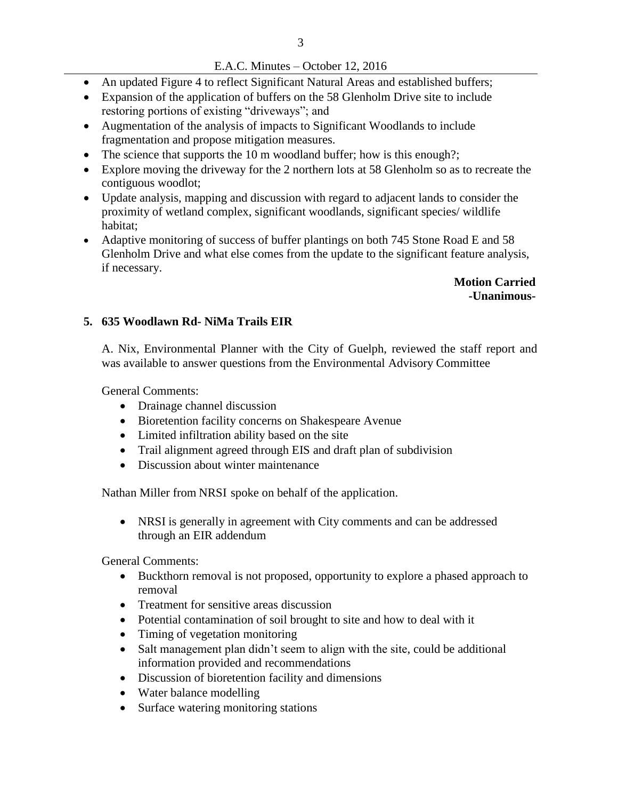#### E.A.C. Minutes – October 12, 2016

- An updated Figure 4 to reflect Significant Natural Areas and established buffers;
- Expansion of the application of buffers on the 58 Glenholm Drive site to include restoring portions of existing "driveways"; and
- Augmentation of the analysis of impacts to Significant Woodlands to include fragmentation and propose mitigation measures.
- The science that supports the 10 m woodland buffer; how is this enough?;
- Explore moving the driveway for the 2 northern lots at 58 Glenholm so as to recreate the contiguous woodlot;
- Update analysis, mapping and discussion with regard to adjacent lands to consider the proximity of wetland complex, significant woodlands, significant species/ wildlife habitat;
- Adaptive monitoring of success of buffer plantings on both 745 Stone Road E and 58 Glenholm Drive and what else comes from the update to the significant feature analysis, if necessary.

**Motion Carried -Unanimous-**

#### **5. 635 Woodlawn Rd- NiMa Trails EIR**

A. Nix, Environmental Planner with the City of Guelph, reviewed the staff report and was available to answer questions from the Environmental Advisory Committee

General Comments:

- Drainage channel discussion
- Bioretention facility concerns on Shakespeare Avenue
- Limited infiltration ability based on the site
- Trail alignment agreed through EIS and draft plan of subdivision
- Discussion about winter maintenance

Nathan Miller from NRSI spoke on behalf of the application.

 NRSI is generally in agreement with City comments and can be addressed through an EIR addendum

General Comments:

- Buckthorn removal is not proposed, opportunity to explore a phased approach to removal
- Treatment for sensitive areas discussion
- Potential contamination of soil brought to site and how to deal with it
- Timing of vegetation monitoring
- Salt management plan didn't seem to align with the site, could be additional information provided and recommendations
- Discussion of bioretention facility and dimensions
- Water balance modelling
- Surface watering monitoring stations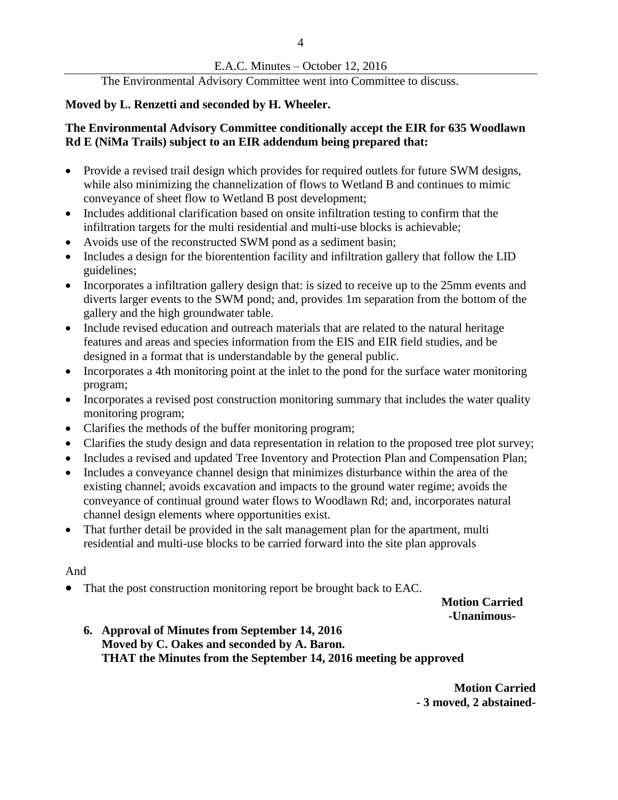## E.A.C. Minutes – October 12, 2016

The Environmental Advisory Committee went into Committee to discuss.

## **Moved by L. Renzetti and seconded by H. Wheeler.**

#### **The Environmental Advisory Committee conditionally accept the EIR for 635 Woodlawn Rd E (NiMa Trails) subject to an EIR addendum being prepared that:**

- Provide a revised trail design which provides for required outlets for future SWM designs, while also minimizing the channelization of flows to Wetland B and continues to mimic conveyance of sheet flow to Wetland B post development;
- Includes additional clarification based on onsite infiltration testing to confirm that the infiltration targets for the multi residential and multi-use blocks is achievable;
- Avoids use of the reconstructed SWM pond as a sediment basin;
- Includes a design for the biorentention facility and infiltration gallery that follow the LID guidelines;
- Incorporates a infiltration gallery design that: is sized to receive up to the 25mm events and diverts larger events to the SWM pond; and, provides 1m separation from the bottom of the gallery and the high groundwater table.
- Include revised education and outreach materials that are related to the natural heritage features and areas and species information from the EIS and EIR field studies, and be designed in a format that is understandable by the general public.
- Incorporates a 4th monitoring point at the inlet to the pond for the surface water monitoring program;
- Incorporates a revised post construction monitoring summary that includes the water quality monitoring program;
- Clarifies the methods of the buffer monitoring program;
- Clarifies the study design and data representation in relation to the proposed tree plot survey;
- Includes a revised and updated Tree Inventory and Protection Plan and Compensation Plan;
- Includes a conveyance channel design that minimizes disturbance within the area of the existing channel; avoids excavation and impacts to the ground water regime; avoids the conveyance of continual ground water flows to Woodlawn Rd; and, incorporates natural channel design elements where opportunities exist.
- That further detail be provided in the salt management plan for the apartment, multi residential and multi-use blocks to be carried forward into the site plan approvals

#### And

• That the post construction monitoring report be brought back to EAC.

**Motion Carried -Unanimous-**

**6. Approval of Minutes from September 14, 2016 Moved by C. Oakes and seconded by A. Baron. THAT the Minutes from the September 14, 2016 meeting be approved**

> **Motion Carried - 3 moved, 2 abstained-**